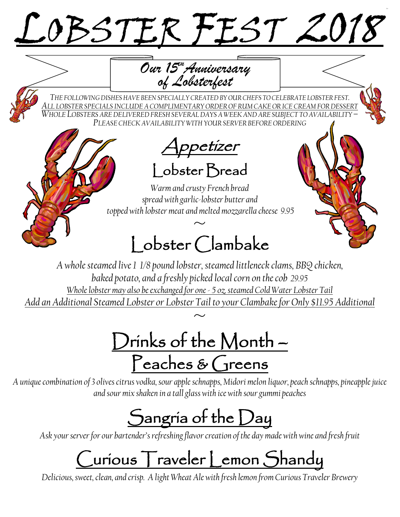# LOBSTER FEST 20

*Our 15thAnniversary of Lobsterfest*

*THE FOLLOWING DISHESHAVE BEEN SPECIALLY CREATEDBY OUR CHEFS TO CELEBRATE LOBSTER FEST. ALL LOBSTER SPECIALS INCLUDE A COMPLIMENTARY ORDER OF RUM CAKE OR ICE CREAM FOR DESSERT WHOLE LOBSTERS ARE DELIVERED FRESH SEVERAL DAYS A WEEK AND ARE SUBJECT TO AVAILABILITY – PLEASE CHECK AVAILABILITY WITH YOUR SERVER BEFORE ORDERING*

Appetizer Lobster Bread

*Warm and crusty French bread spread with garlic-lobster butter and topped with lobster meat and melted mozzarella cheese 9.95*

## $~\sim~$ l obster Clambake

*A whole steamed live 1 1/8 pound lobster, steamed littleneck clams, BBQ chicken, baked potato, and a freshly picked local corn on the cob 29.95 Whole lobster may also be exchanged for one - 5 oz. steamed Cold Water Lobster Tail Add an Additional Steamed Lobster or Lobster Tail to your Clambake for Only \$11.95 Additional*  $\frac{1}{\sim}$ 

Drinks of the Month – Peaches & Greens

*A unique combination of 3 olives citrus vodka, sour apple schnapps, Midori melon liquor, peach schnapps, pineapple juice and sour mix shaken in a tall glass with ice with sour gummi peaches* 

## Sangria of the Day

*Ask your server for our bartender's refreshing flavor creation of the day made with wine and fresh fruit*

# Curious Traveler Lemon Shandy

*Delicious, sweet, clean, and crisp. A light Wheat Ale with fresh lemon from Curious Traveler Brewery*